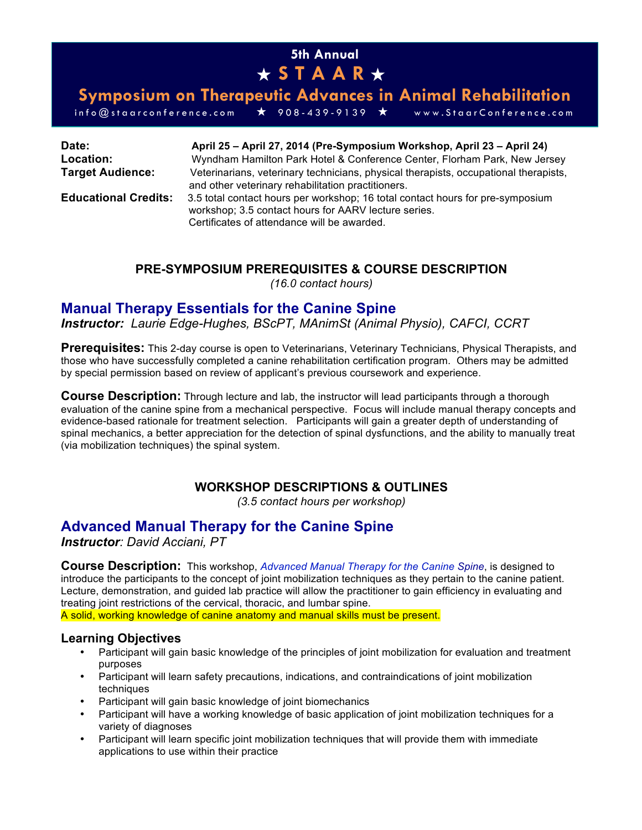## **5th Annual**  ★ **STAAR** ★

**Symposium on Therapeutic Advances in Animal Rehabilitation**

info@staarconference.com ★ 908 - 439 - 9139 ★ www.StaarConference.com

| Date:                       | April 25 - April 27, 2014 (Pre-Symposium Workshop, April 23 - April 24)                                                                                                                                                                     |
|-----------------------------|---------------------------------------------------------------------------------------------------------------------------------------------------------------------------------------------------------------------------------------------|
| Location:                   | Wyndham Hamilton Park Hotel & Conference Center, Florham Park, New Jersey                                                                                                                                                                   |
| <b>Target Audience:</b>     | Veterinarians, veterinary technicians, physical therapists, occupational therapists,                                                                                                                                                        |
| <b>Educational Credits:</b> | and other veterinary rehabilitation practitioners.<br>3.5 total contact hours per workshop; 16 total contact hours for pre-symposium<br>workshop; 3.5 contact hours for AARV lecture series.<br>Certificates of attendance will be awarded. |

## **PRE-SYMPOSIUM PREREQUISITES & COURSE DESCRIPTION**

*(16.0 contact hours)*

## **Manual Therapy Essentials for the Canine Spine**

*Instructor: Laurie Edge-Hughes, BScPT, MAnimSt (Animal Physio), CAFCI, CCRT*

**Prerequisites:** This 2-day course is open to Veterinarians, Veterinary Technicians, Physical Therapists, and those who have successfully completed a canine rehabilitation certification program. Others may be admitted by special permission based on review of applicant's previous coursework and experience.

**Course Description:** Through lecture and lab, the instructor will lead participants through a thorough evaluation of the canine spine from a mechanical perspective. Focus will include manual therapy concepts and evidence-based rationale for treatment selection. Participants will gain a greater depth of understanding of spinal mechanics, a better appreciation for the detection of spinal dysfunctions, and the ability to manually treat (via mobilization techniques) the spinal system.

## **WORKSHOP DESCRIPTIONS & OUTLINES**

*(3.5 contact hours per workshop)*

## **Advanced Manual Therapy for the Canine Spine**

*Instructor: David Acciani, PT*

**Course Description:** This workshop, *Advanced Manual Therapy for the Canine Spine*, is designed to introduce the participants to the concept of joint mobilization techniques as they pertain to the canine patient. Lecture, demonstration, and guided lab practice will allow the practitioner to gain efficiency in evaluating and treating joint restrictions of the cervical, thoracic, and lumbar spine.

A solid, working knowledge of canine anatomy and manual skills must be present.

## **Learning Objectives**

- Participant will gain basic knowledge of the principles of joint mobilization for evaluation and treatment purposes
- Participant will learn safety precautions, indications, and contraindications of joint mobilization techniques
- Participant will gain basic knowledge of joint biomechanics
- Participant will have a working knowledge of basic application of joint mobilization techniques for a variety of diagnoses
- Participant will learn specific joint mobilization techniques that will provide them with immediate applications to use within their practice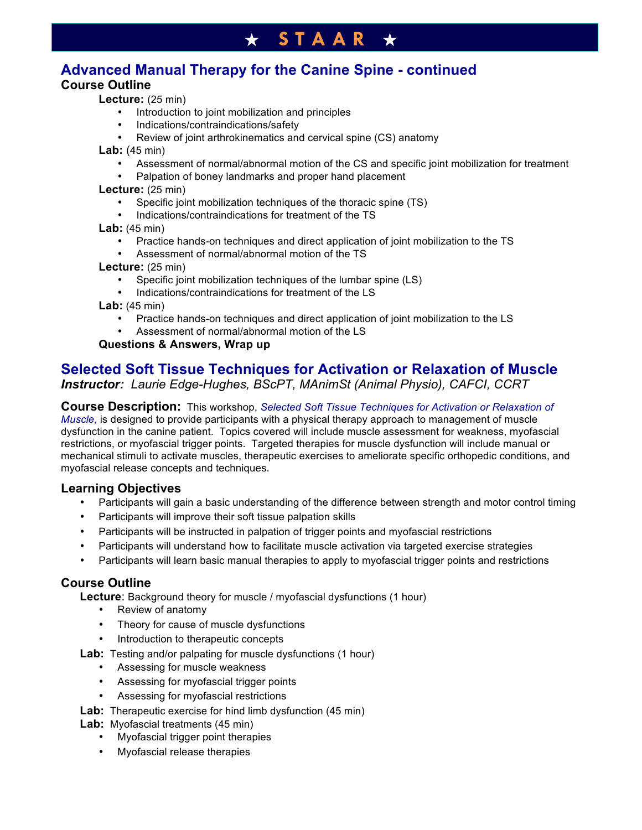# **Advanced Manual Therapy for the Canine Spine - continued**

## **Course Outline**

**Lecture:** (25 min)

- Introduction to joint mobilization and principles
- Indications/contraindications/safety
- Review of joint arthrokinematics and cervical spine (CS) anatomy

 **Lab:** (45 min)

- Assessment of normal/abnormal motion of the CS and specific joint mobilization for treatment
- Palpation of boney landmarks and proper hand placement

 **Lecture:** (25 min)

- Specific joint mobilization techniques of the thoracic spine (TS)
- Indications/contraindications for treatment of the TS

**Lab:** (45 min)

- Practice hands-on techniques and direct application of joint mobilization to the TS
- Assessment of normal/abnormal motion of the TS

 **Lecture:** (25 min)

- Specific joint mobilization techniques of the lumbar spine (LS)
- Indications/contraindications for treatment of the LS

 **Lab:** (45 min)

- Practice hands-on techniques and direct application of joint mobilization to the LS
- Assessment of normal/abnormal motion of the LS

## **Questions & Answers, Wrap up**

## **Selected Soft Tissue Techniques for Activation or Relaxation of Muscle** *Instructor: Laurie Edge-Hughes, BScPT, MAnimSt (Animal Physio), CAFCI, CCRT*

**Course Description:** This workshop, *Selected Soft Tissue Techniques for Activation or Relaxation of Muscle,* is designed to provide participants with a physical therapy approach to management of muscle dysfunction in the canine patient. Topics covered will include muscle assessment for weakness, myofascial restrictions, or myofascial trigger points. Targeted therapies for muscle dysfunction will include manual or mechanical stimuli to activate muscles, therapeutic exercises to ameliorate specific orthopedic conditions, and myofascial release concepts and techniques.

## **Learning Objectives**

- Participants will gain a basic understanding of the difference between strength and motor control timing
- Participants will improve their soft tissue palpation skills
- Participants will be instructed in palpation of trigger points and myofascial restrictions
- Participants will understand how to facilitate muscle activation via targeted exercise strategies
- Participants will learn basic manual therapies to apply to myofascial trigger points and restrictions

## **Course Outline**

**Lecture:** Background theory for muscle / myofascial dysfunctions (1 hour)

- Review of anatomy
- Theory for cause of muscle dysfunctions
- Introduction to therapeutic concepts
- Lab: Testing and/or palpating for muscle dysfunctions (1 hour)
	- Assessing for muscle weakness
	- Assessing for myofascial trigger points
	- Assessing for myofascial restrictions
- **Lab:** Therapeutic exercise for hind limb dysfunction (45 min)

**Lab:** Myofascial treatments (45 min)

- Myofascial trigger point therapies
- Myofascial release therapies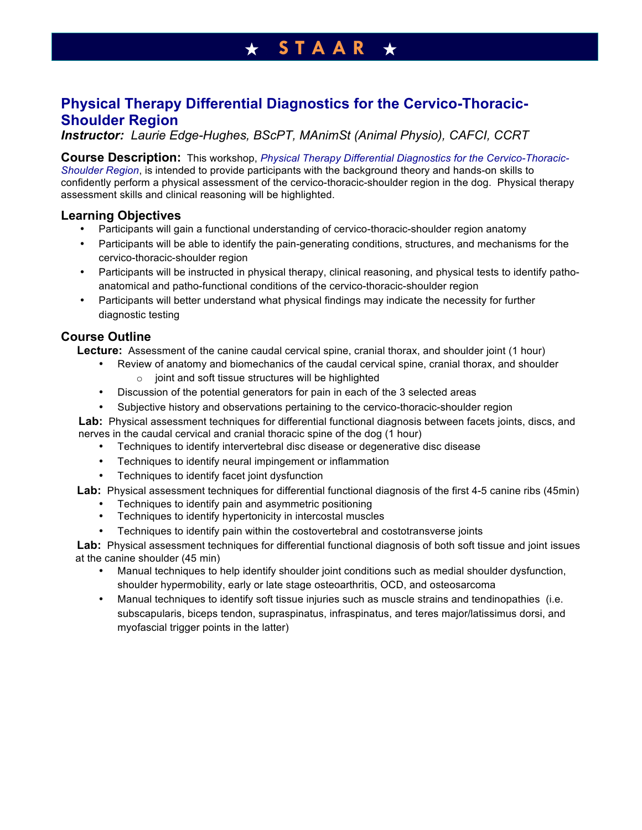## **Physical Therapy Differential Diagnostics for the Cervico-Thoracic-Shoulder Region**

*Instructor: Laurie Edge-Hughes, BScPT, MAnimSt (Animal Physio), CAFCI, CCRT*

**Course Description:** This workshop, *Physical Therapy Differential Diagnostics for the Cervico-Thoracic-Shoulder Region*, is intended to provide participants with the background theory and hands-on skills to confidently perform a physical assessment of the cervico-thoracic-shoulder region in the dog. Physical therapy assessment skills and clinical reasoning will be highlighted.

## **Learning Objectives**

- Participants will gain a functional understanding of cervico-thoracic-shoulder region anatomy
- Participants will be able to identify the pain-generating conditions, structures, and mechanisms for the cervico-thoracic-shoulder region
- Participants will be instructed in physical therapy, clinical reasoning, and physical tests to identify pathoanatomical and patho-functional conditions of the cervico-thoracic-shoulder region
- Participants will better understand what physical findings may indicate the necessity for further diagnostic testing

## **Course Outline**

 **Lecture:** Assessment of the canine caudal cervical spine, cranial thorax, and shoulder joint (1 hour)

- Review of anatomy and biomechanics of the caudal cervical spine, cranial thorax, and shoulder  $\circ$  joint and soft tissue structures will be highlighted
- Discussion of the potential generators for pain in each of the 3 selected areas
- Subjective history and observations pertaining to the cervico-thoracic-shoulder region

 **Lab:** Physical assessment techniques for differential functional diagnosis between facets joints, discs, and nerves in the caudal cervical and cranial thoracic spine of the dog (1 hour)

- Techniques to identify intervertebral disc disease or degenerative disc disease
- Techniques to identify neural impingement or inflammation
- Techniques to identify facet joint dysfunction

 **Lab:** Physical assessment techniques for differential functional diagnosis of the first 4-5 canine ribs (45min)

- Techniques to identify pain and asymmetric positioning
- Techniques to identify hypertonicity in intercostal muscles
- Techniques to identify pain within the costovertebral and costotransverse joints

 **Lab:** Physical assessment techniques for differential functional diagnosis of both soft tissue and joint issues at the canine shoulder (45 min)

- Manual techniques to help identify shoulder joint conditions such as medial shoulder dysfunction, shoulder hypermobility, early or late stage osteoarthritis, OCD, and osteosarcoma
- Manual techniques to identify soft tissue injuries such as muscle strains and tendinopathies (i.e. subscapularis, biceps tendon, supraspinatus, infraspinatus, and teres major/latissimus dorsi, and myofascial trigger points in the latter)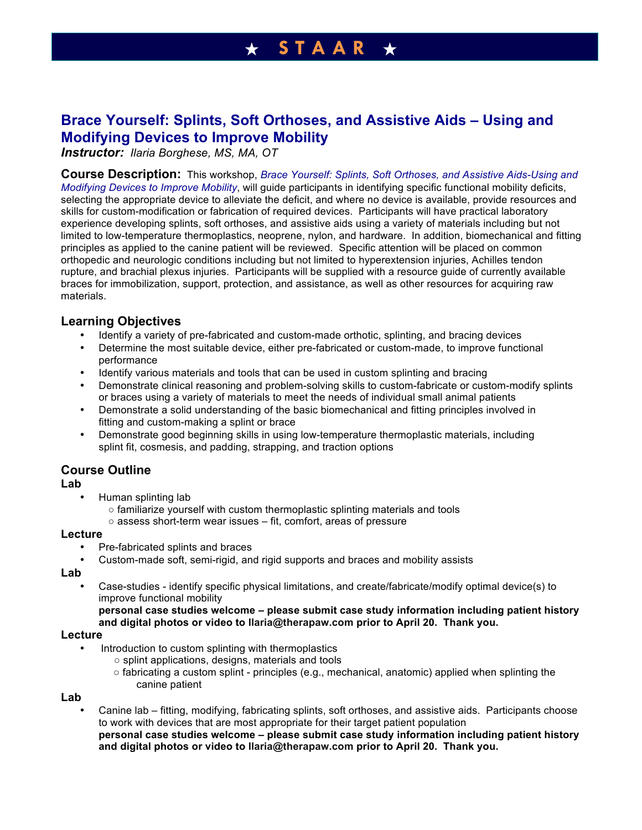## **Brace Yourself: Splints, Soft Orthoses, and Assistive Aids – Using and Modifying Devices to Improve Mobility**

*Instructor: Ilaria Borghese, MS, MA, OT*

**Course Description:** This workshop, *Brace Yourself: Splints, Soft Orthoses, and Assistive Aids-Using and Modifying Devices to Improve Mobility*, will guide participants in identifying specific functional mobility deficits, selecting the appropriate device to alleviate the deficit, and where no device is available, provide resources and skills for custom-modification or fabrication of required devices. Participants will have practical laboratory experience developing splints, soft orthoses, and assistive aids using a variety of materials including but not limited to low-temperature thermoplastics, neoprene, nylon, and hardware. In addition, biomechanical and fitting principles as applied to the canine patient will be reviewed. Specific attention will be placed on common orthopedic and neurologic conditions including but not limited to hyperextension injuries, Achilles tendon rupture, and brachial plexus injuries. Participants will be supplied with a resource guide of currently available braces for immobilization, support, protection, and assistance, as well as other resources for acquiring raw materials.

## **Learning Objectives**

- Identify a variety of pre-fabricated and custom-made orthotic, splinting, and bracing devices<br>• Determine the most suitable device either pre-fabricated or custom-made to improve function
- Determine the most suitable device, either pre-fabricated or custom-made, to improve functional performance
- Identify various materials and tools that can be used in custom splinting and bracing
- Demonstrate clinical reasoning and problem-solving skills to custom-fabricate or custom-modify splints or braces using a variety of materials to meet the needs of individual small animal patients
- Demonstrate a solid understanding of the basic biomechanical and fitting principles involved in fitting and custom-making a splint or brace
- Demonstrate good beginning skills in using low-temperature thermoplastic materials, including splint fit, cosmesis, and padding, strapping, and traction options

## **Course Outline**

#### **Lab**

- Human splinting lab
	- familiarize yourself with custom thermoplastic splinting materials and tools
	- $\circ$  assess short-term wear issues fit, comfort, areas of pressure

#### **Lecture**

- Pre-fabricated splints and braces
- Custom-made soft, semi-rigid, and rigid supports and braces and mobility assists

#### **Lab**

• Case-studies - identify specific physical limitations, and create/fabricate/modify optimal device(s) to improve functional mobility

**personal case studies welcome – please submit case study information including patient history and digital photos or video to Ilaria@therapaw.com prior to April 20. Thank you.**

### **Lecture**

- Introduction to custom splinting with thermoplastics
	- splint applications, designs, materials and tools
	- $\circ$  fabricating a custom splint principles (e.g., mechanical, anatomic) applied when splinting the canine patient

#### **Lab**

• Canine lab – fitting, modifying, fabricating splints, soft orthoses, and assistive aids. Participants choose to work with devices that are most appropriate for their target patient population **personal case studies welcome – please submit case study information including patient history and digital photos or video to Ilaria@therapaw.com prior to April 20. Thank you.**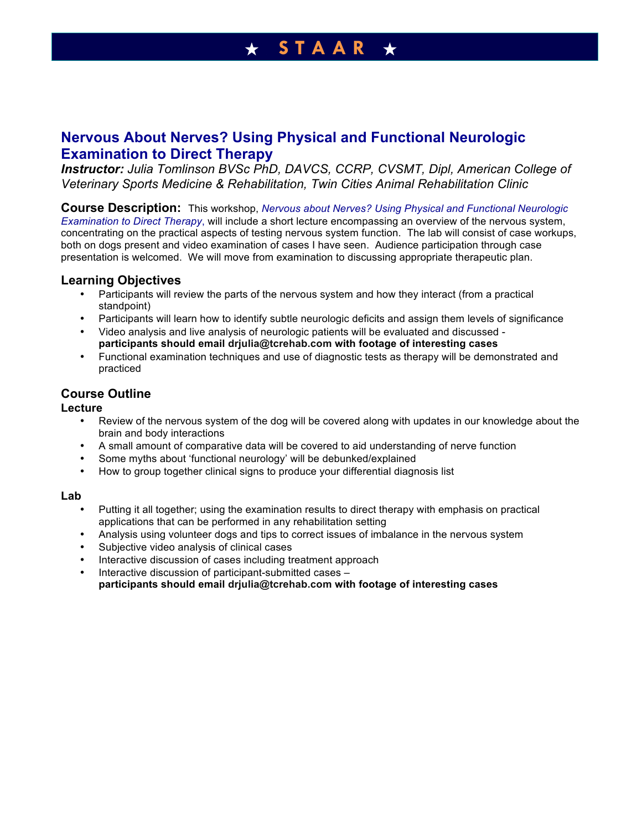**Nervous About Nerves? Using Physical and Functional Neurologic Examination to Direct Therapy**

*Instructor: Julia Tomlinson BVSc PhD, DAVCS, CCRP, CVSMT, Dipl, American College of Veterinary Sports Medicine & Rehabilitation, Twin Cities Animal Rehabilitation Clinic*

**Course Description:** This workshop, *Nervous about Nerves? Using Physical and Functional Neurologic Examination to Direct Therapy*, will include a short lecture encompassing an overview of the nervous system, concentrating on the practical aspects of testing nervous system function. The lab will consist of case workups, both on dogs present and video examination of cases I have seen. Audience participation through case presentation is welcomed. We will move from examination to discussing appropriate therapeutic plan.

### **Learning Objectives**

- Participants will review the parts of the nervous system and how they interact (from a practical standpoint)
- Participants will learn how to identify subtle neurologic deficits and assign them levels of significance
- Video analysis and live analysis of neurologic patients will be evaluated and discussed **participants should email drjulia@tcrehab.com with footage of interesting cases**
- Functional examination techniques and use of diagnostic tests as therapy will be demonstrated and practiced

## **Course Outline**

#### **Lecture**

- Review of the nervous system of the dog will be covered along with updates in our knowledge about the brain and body interactions
- A small amount of comparative data will be covered to aid understanding of nerve function
- Some myths about 'functional neurology' will be debunked/explained
- How to group together clinical signs to produce your differential diagnosis list

#### **Lab**

- Putting it all together; using the examination results to direct therapy with emphasis on practical applications that can be performed in any rehabilitation setting
- Analysis using volunteer dogs and tips to correct issues of imbalance in the nervous system
- Subjective video analysis of clinical cases
- Interactive discussion of cases including treatment approach
- Interactive discussion of participant-submitted cases –

**participants should email drjulia@tcrehab.com with footage of interesting cases**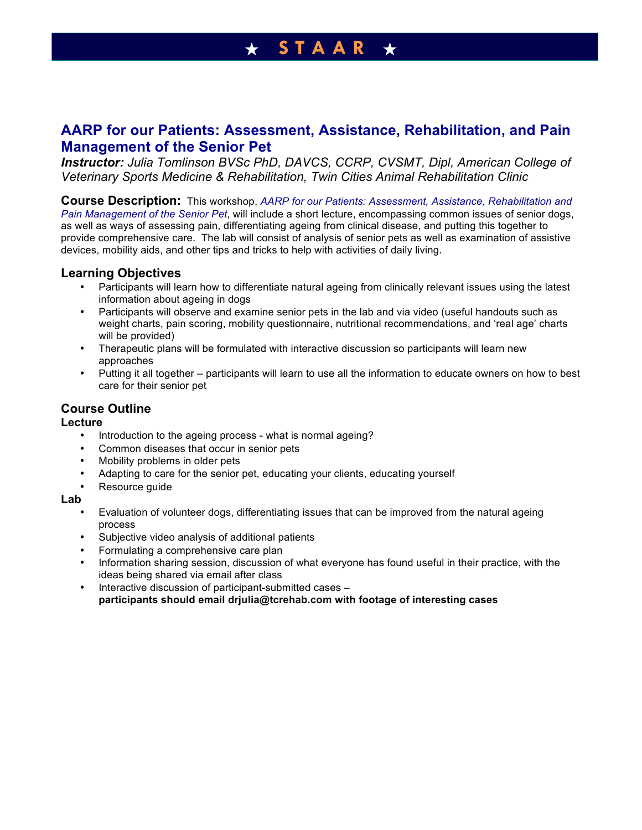## **AARP for our Patients: Assessment, Assistance, Rehabilitation, and Pain Management of the Senior Pet**

*Instructor: Julia Tomlinson BVSc PhD, DAVCS, CCRP, CVSMT, Dipl, American College of Veterinary Sports Medicine & Rehabilitation, Twin Cities Animal Rehabilitation Clinic*

**Course Description:** This workshop, *AARP for our Patients: Assessment, Assistance, Rehabilitation and Pain Management of the Senior Pet*, will include a short lecture, encompassing common issues of senior dogs, as well as ways of assessing pain, differentiating ageing from clinical disease, and putting this together to provide comprehensive care. The lab will consist of analysis of senior pets as well as examination of assistive devices, mobility aids, and other tips and tricks to help with activities of daily living.

## **Learning Objectives**

- Participants will learn how to differentiate natural ageing from clinically relevant issues using the latest information about ageing in dogs
- Participants will observe and examine senior pets in the lab and via video (useful handouts such as weight charts, pain scoring, mobility questionnaire, nutritional recommendations, and 'real age' charts will be provided)
- Therapeutic plans will be formulated with interactive discussion so participants will learn new approaches
- Putting it all together participants will learn to use all the information to educate owners on how to best care for their senior pet

## **Course Outline**

### **Lecture**

- Introduction to the ageing process what is normal ageing?
- Common diseases that occur in senior pets
- Mobility problems in older pets
- Adapting to care for the senior pet, educating your clients, educating yourself
- Resource guide

### **Lab**

- Evaluation of volunteer dogs, differentiating issues that can be improved from the natural ageing process
- Subjective video analysis of additional patients
- Formulating a comprehensive care plan
- Information sharing session, discussion of what everyone has found useful in their practice, with the ideas being shared via email after class
- Interactive discussion of participant-submitted cases **participants should email drjulia@tcrehab.com with footage of interesting cases**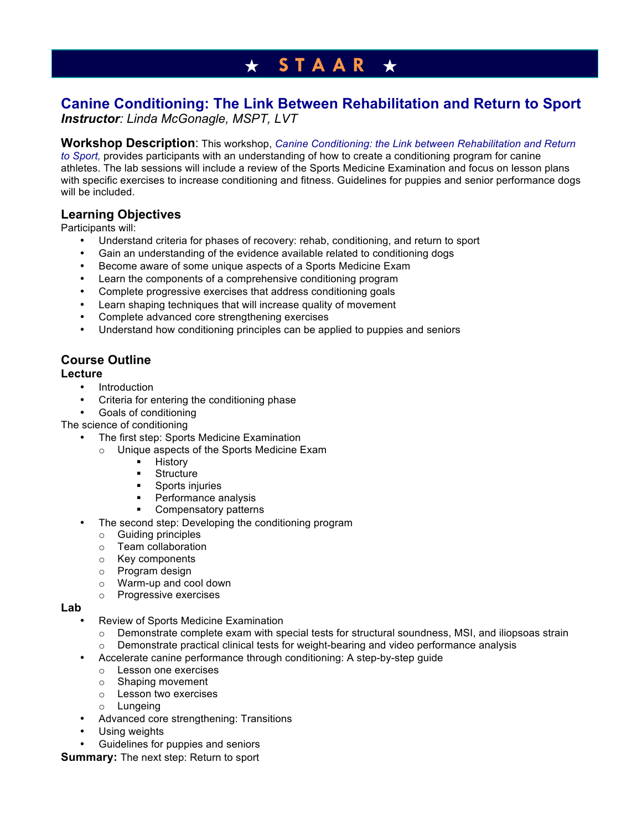# **Canine Conditioning: The Link Between Rehabilitation and Return to Sport**

*Instructor: Linda McGonagle, MSPT, LVT*

## **Workshop Description**: This workshop, *Canine Conditioning: the Link between Rehabilitation and Return*

*to Sport,* provides participants with an understanding of how to create a conditioning program for canine athletes. The lab sessions will include a review of the Sports Medicine Examination and focus on lesson plans with specific exercises to increase conditioning and fitness. Guidelines for puppies and senior performance dogs will be included.

## **Learning Objectives**

Participants will:

- Understand criteria for phases of recovery: rehab, conditioning, and return to sport
- Gain an understanding of the evidence available related to conditioning dogs
- Become aware of some unique aspects of a Sports Medicine Exam
- Learn the components of a comprehensive conditioning program
- Complete progressive exercises that address conditioning goals
- Learn shaping techniques that will increase quality of movement
- Complete advanced core strengthening exercises
- Understand how conditioning principles can be applied to puppies and seniors

## **Course Outline**

### **Lecture**

- Introduction
- Criteria for entering the conditioning phase
- Goals of conditioning

The science of conditioning

- The first step: Sports Medicine Examination
	- o Unique aspects of the Sports Medicine Exam
		- **.** History
		- **·** Structure
		- Sports injuries<br>■ Performance.
		- Performance analysis
		- Compensatory patterns
- The second step: Developing the conditioning program
	- o Guiding principles
	- o Team collaboration
	- o Key components
	- o Program design
	- o Warm-up and cool down
	- o Progressive exercises

#### **Lab**

- Review of Sports Medicine Examination
	- $\circ$  Demonstrate complete exam with special tests for structural soundness, MSI, and iliopsoas strain
	- $\circ$  Demonstrate practical clinical tests for weight-bearing and video performance analysis
- Accelerate canine performance through conditioning: A step-by-step guide
	- o Lesson one exercises
	- o Shaping movement
	- o Lesson two exercises
	- o Lungeing
- Advanced core strengthening: Transitions
- Using weights
- Guidelines for puppies and seniors

**Summary:** The next step: Return to sport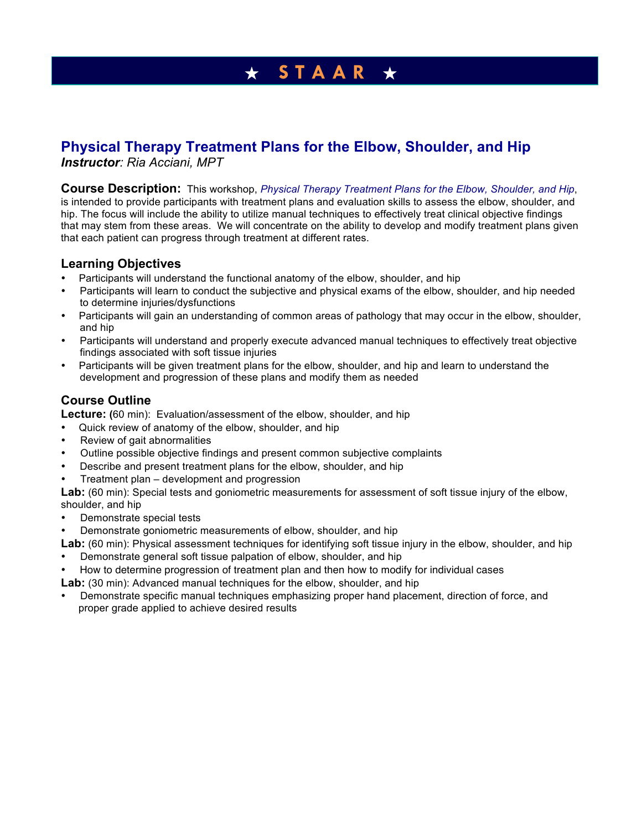# **Physical Therapy Treatment Plans for the Elbow, Shoulder, and Hip**

*Instructor: Ria Acciani, MPT* 

**Course Description:** This workshop, *Physical Therapy Treatment Plans for the Elbow, Shoulder, and Hip*, is intended to provide participants with treatment plans and evaluation skills to assess the elbow, shoulder, and hip. The focus will include the ability to utilize manual techniques to effectively treat clinical objective findings that may stem from these areas. We will concentrate on the ability to develop and modify treatment plans given that each patient can progress through treatment at different rates.

## **Learning Objectives**

- Participants will understand the functional anatomy of the elbow, shoulder, and hip
- Participants will learn to conduct the subjective and physical exams of the elbow, shoulder, and hip needed to determine injuries/dysfunctions
- Participants will gain an understanding of common areas of pathology that may occur in the elbow, shoulder, and hip
- Participants will understand and properly execute advanced manual techniques to effectively treat objective findings associated with soft tissue injuries
- Participants will be given treatment plans for the elbow, shoulder, and hip and learn to understand the development and progression of these plans and modify them as needed

## **Course Outline**

**Lecture: (**60 min): Evaluation/assessment of the elbow, shoulder, and hip

- Quick review of anatomy of the elbow, shoulder, and hip
- Review of gait abnormalities
- Outline possible objective findings and present common subjective complaints
- Describe and present treatment plans for the elbow, shoulder, and hip
- Treatment plan development and progression

Lab: (60 min): Special tests and goniometric measurements for assessment of soft tissue injury of the elbow, shoulder, and hip

- Demonstrate special tests
- Demonstrate goniometric measurements of elbow, shoulder, and hip

**Lab:** (60 min): Physical assessment techniques for identifying soft tissue injury in the elbow, shoulder, and hip

- Demonstrate general soft tissue palpation of elbow, shoulder, and hip
- How to determine progression of treatment plan and then how to modify for individual cases

**Lab:** (30 min): Advanced manual techniques for the elbow, shoulder, and hip

• Demonstrate specific manual techniques emphasizing proper hand placement, direction of force, and proper grade applied to achieve desired results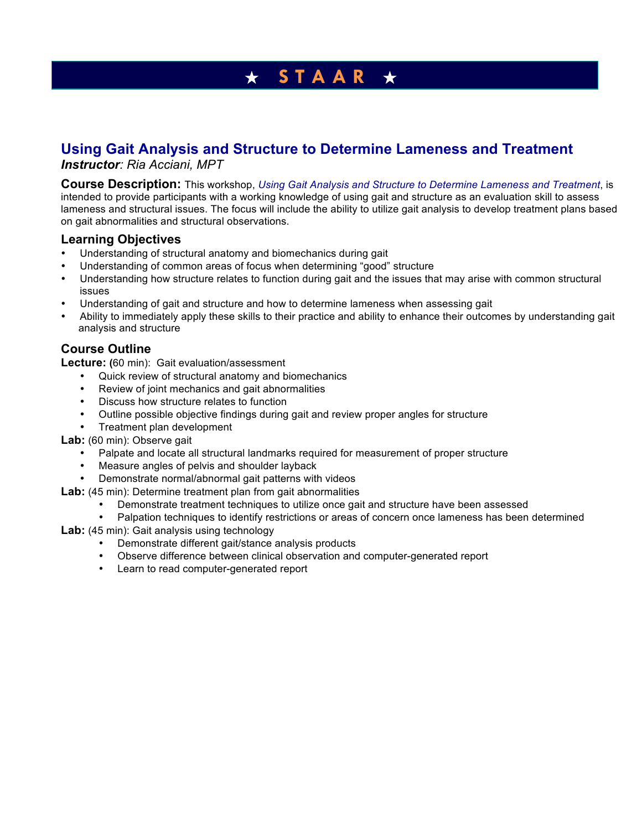## **Using Gait Analysis and Structure to Determine Lameness and Treatment**

*Instructor: Ria Acciani, MPT* 

**Course Description:** This workshop, *Using Gait Analysis and Structure to Determine Lameness and Treatment*, is intended to provide participants with a working knowledge of using gait and structure as an evaluation skill to assess lameness and structural issues. The focus will include the ability to utilize gait analysis to develop treatment plans based on gait abnormalities and structural observations.

## **Learning Objectives**

- Understanding of structural anatomy and biomechanics during gait
- Understanding of common areas of focus when determining "good" structure
- Understanding how structure relates to function during gait and the issues that may arise with common structural issues
- Understanding of gait and structure and how to determine lameness when assessing gait
- Ability to immediately apply these skills to their practice and ability to enhance their outcomes by understanding gait analysis and structure

## **Course Outline**

**Lecture: (**60 min): Gait evaluation/assessment

- Quick review of structural anatomy and biomechanics
- Review of joint mechanics and gait abnormalities
- Discuss how structure relates to function
- Outline possible objective findings during gait and review proper angles for structure
- Treatment plan development
- **Lab:** (60 min): Observe gait
	- Palpate and locate all structural landmarks required for measurement of proper structure
	- Measure angles of pelvis and shoulder layback
	- Demonstrate normal/abnormal gait patterns with videos
- Lab: (45 min): Determine treatment plan from gait abnormalities
	- Demonstrate treatment techniques to utilize once gait and structure have been assessed
	- Palpation techniques to identify restrictions or areas of concern once lameness has been determined
- **Lab:** (45 min): Gait analysis using technology
	- Demonstrate different gait/stance analysis products
	- Observe difference between clinical observation and computer-generated report
	- Learn to read computer-generated report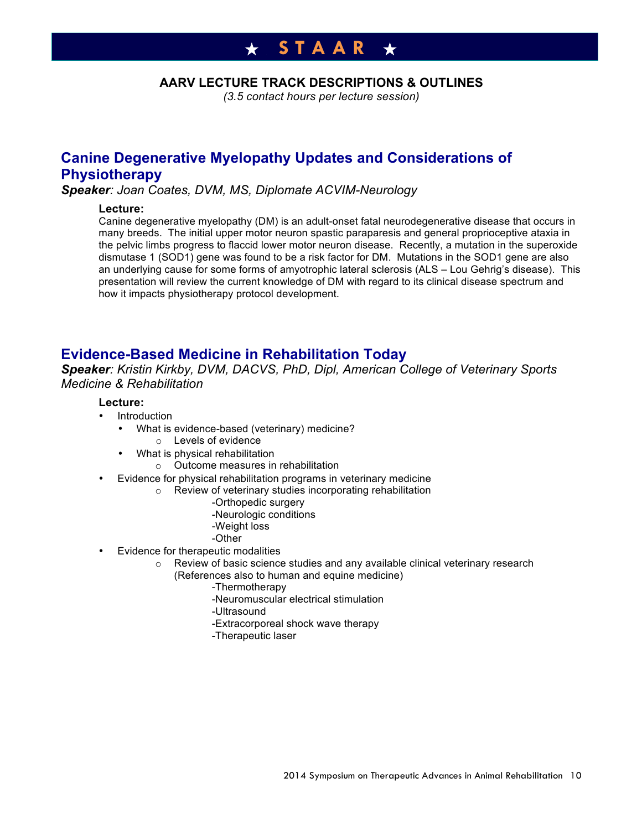### **AARV LECTURE TRACK DESCRIPTIONS & OUTLINES**

*(3.5 contact hours per lecture session)*

## **Canine Degenerative Myelopathy Updates and Considerations of Physiotherapy**

*Speaker: Joan Coates, DVM, MS, Diplomate ACVIM-Neurology*

### **Lecture:**

Canine degenerative myelopathy (DM) is an adult-onset fatal neurodegenerative disease that occurs in many breeds. The initial upper motor neuron spastic paraparesis and general proprioceptive ataxia in the pelvic limbs progress to flaccid lower motor neuron disease. Recently, a mutation in the superoxide dismutase 1 (SOD1) gene was found to be a risk factor for DM. Mutations in the SOD1 gene are also an underlying cause for some forms of amyotrophic lateral sclerosis (ALS – Lou Gehrig's disease). This presentation will review the current knowledge of DM with regard to its clinical disease spectrum and how it impacts physiotherapy protocol development.

## **Evidence-Based Medicine in Rehabilitation Today**

*Speaker: Kristin Kirkby, DVM, DACVS, PhD, Dipl, American College of Veterinary Sports Medicine & Rehabilitation*

### **Lecture:**

- **Introduction** 
	- What is evidence-based (veterinary) medicine?
		- o Levels of evidence
	- What is physical rehabilitation
		- o Outcome measures in rehabilitation
- Evidence for physical rehabilitation programs in veterinary medicine
	- o Review of veterinary studies incorporating rehabilitation
		- -Orthopedic surgery
		- -Neurologic conditions
		- -Weight loss
		- -Other
- Evidence for therapeutic modalities
	- o Review of basic science studies and any available clinical veterinary research
		- (References also to human and equine medicine)
			- -Thermotherapy
			- -Neuromuscular electrical stimulation
			- -Ultrasound
			- -Extracorporeal shock wave therapy
			- -Therapeutic laser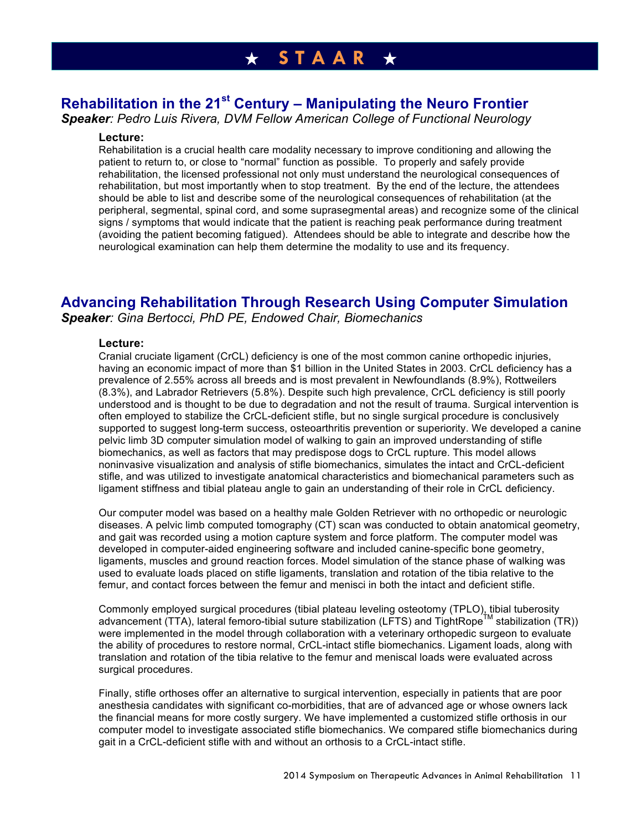# **Rehabilitation in the 21st Century – Manipulating the Neuro Frontier**

*Speaker: Pedro Luis Rivera, DVM Fellow American College of Functional Neurology*

#### **Lecture:**

Rehabilitation is a crucial health care modality necessary to improve conditioning and allowing the patient to return to, or close to "normal" function as possible. To properly and safely provide rehabilitation, the licensed professional not only must understand the neurological consequences of rehabilitation, but most importantly when to stop treatment. By the end of the lecture, the attendees should be able to list and describe some of the neurological consequences of rehabilitation (at the peripheral, segmental, spinal cord, and some suprasegmental areas) and recognize some of the clinical signs / symptoms that would indicate that the patient is reaching peak performance during treatment (avoiding the patient becoming fatigued). Attendees should be able to integrate and describe how the neurological examination can help them determine the modality to use and its frequency.

## **Advancing Rehabilitation Through Research Using Computer Simulation**

*Speaker: Gina Bertocci, PhD PE, Endowed Chair, Biomechanics*

#### **Lecture:**

Cranial cruciate ligament (CrCL) deficiency is one of the most common canine orthopedic injuries, having an economic impact of more than \$1 billion in the United States in 2003. CrCL deficiency has a prevalence of 2.55% across all breeds and is most prevalent in Newfoundlands (8.9%), Rottweilers (8.3%), and Labrador Retrievers (5.8%). Despite such high prevalence, CrCL deficiency is still poorly understood and is thought to be due to degradation and not the result of trauma. Surgical intervention is often employed to stabilize the CrCL-deficient stifle, but no single surgical procedure is conclusively supported to suggest long-term success, osteoarthritis prevention or superiority. We developed a canine pelvic limb 3D computer simulation model of walking to gain an improved understanding of stifle biomechanics, as well as factors that may predispose dogs to CrCL rupture. This model allows noninvasive visualization and analysis of stifle biomechanics, simulates the intact and CrCL-deficient stifle, and was utilized to investigate anatomical characteristics and biomechanical parameters such as ligament stiffness and tibial plateau angle to gain an understanding of their role in CrCL deficiency.

Our computer model was based on a healthy male Golden Retriever with no orthopedic or neurologic diseases. A pelvic limb computed tomography (CT) scan was conducted to obtain anatomical geometry, and gait was recorded using a motion capture system and force platform. The computer model was developed in computer-aided engineering software and included canine-specific bone geometry, ligaments, muscles and ground reaction forces. Model simulation of the stance phase of walking was used to evaluate loads placed on stifle ligaments, translation and rotation of the tibia relative to the femur, and contact forces between the femur and menisci in both the intact and deficient stifle.

Commonly employed surgical procedures (tibial plateau leveling osteotomy (TPLO), tibial tuberosity advancement (TTA), lateral femoro-tibial suture stabilization (LFTS) and TightRope<sup>IM</sup> stabilization (TR)) were implemented in the model through collaboration with a veterinary orthopedic surgeon to evaluate the ability of procedures to restore normal, CrCL-intact stifle biomechanics. Ligament loads, along with translation and rotation of the tibia relative to the femur and meniscal loads were evaluated across surgical procedures.

Finally, stifle orthoses offer an alternative to surgical intervention, especially in patients that are poor anesthesia candidates with significant co-morbidities, that are of advanced age or whose owners lack the financial means for more costly surgery. We have implemented a customized stifle orthosis in our computer model to investigate associated stifle biomechanics. We compared stifle biomechanics during gait in a CrCL-deficient stifle with and without an orthosis to a CrCL-intact stifle.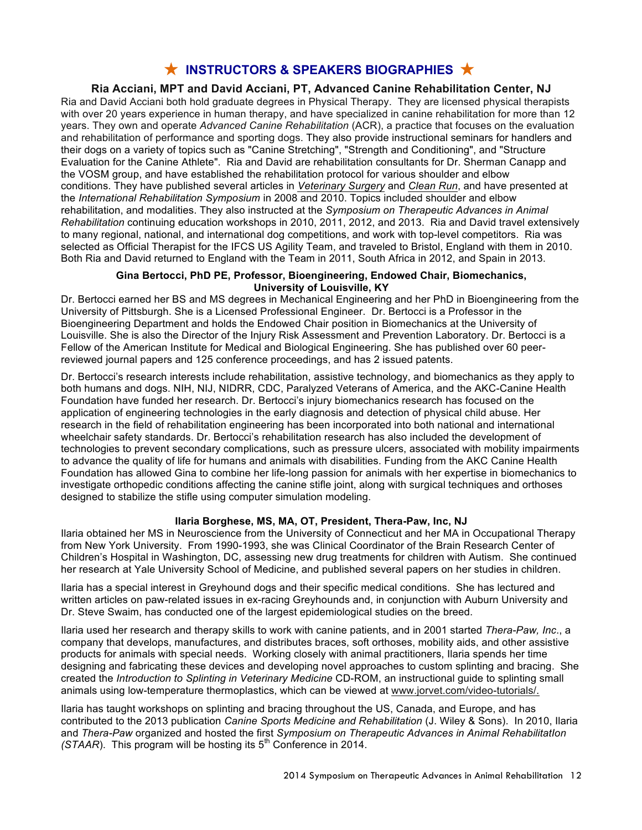## ★ **INSTRUCTORS & SPEAKERS BIOGRAPHIES** ★

### **Ria Acciani, MPT and David Acciani, PT, Advanced Canine Rehabilitation Center, NJ**

Ria and David Acciani both hold graduate degrees in Physical Therapy. They are licensed physical therapists with over 20 years experience in human therapy, and have specialized in canine rehabilitation for more than 12 years. They own and operate *Advanced Canine Rehabilitation* (ACR), a practice that focuses on the evaluation and rehabilitation of performance and sporting dogs. They also provide instructional seminars for handlers and their dogs on a variety of topics such as "Canine Stretching", "Strength and Conditioning", and "Structure Evaluation for the Canine Athlete". Ria and David are rehabilitation consultants for Dr. Sherman Canapp and the VOSM group, and have established the rehabilitation protocol for various shoulder and elbow conditions. They have published several articles in *Veterinary Surgery* and *Clean Run*, and have presented at the *International Rehabilitation Symposium* in 2008 and 2010. Topics included shoulder and elbow rehabilitation, and modalities. They also instructed at the *Symposium on Therapeutic Advances in Animal Rehabilitation* continuing education workshops in 2010, 2011, 2012, and 2013. Ria and David travel extensively to many regional, national, and international dog competitions, and work with top-level competitors. Ria was selected as Official Therapist for the IFCS US Agility Team, and traveled to Bristol, England with them in 2010. Both Ria and David returned to England with the Team in 2011, South Africa in 2012, and Spain in 2013.

#### **Gina Bertocci, PhD PE, Professor, Bioengineering, Endowed Chair, Biomechanics, University of Louisville, KY**

Dr. Bertocci earned her BS and MS degrees in Mechanical Engineering and her PhD in Bioengineering from the University of Pittsburgh. She is a Licensed Professional Engineer. Dr. Bertocci is a Professor in the Bioengineering Department and holds the Endowed Chair position in Biomechanics at the University of Louisville. She is also the Director of the Injury Risk Assessment and Prevention Laboratory. Dr. Bertocci is a Fellow of the American Institute for Medical and Biological Engineering. She has published over 60 peerreviewed journal papers and 125 conference proceedings, and has 2 issued patents.

Dr. Bertocci's research interests include rehabilitation, assistive technology, and biomechanics as they apply to both humans and dogs. NIH, NIJ, NIDRR, CDC, Paralyzed Veterans of America, and the AKC-Canine Health Foundation have funded her research. Dr. Bertocci's injury biomechanics research has focused on the application of engineering technologies in the early diagnosis and detection of physical child abuse. Her research in the field of rehabilitation engineering has been incorporated into both national and international wheelchair safety standards. Dr. Bertocci's rehabilitation research has also included the development of technologies to prevent secondary complications, such as pressure ulcers, associated with mobility impairments to advance the quality of life for humans and animals with disabilities. Funding from the AKC Canine Health Foundation has allowed Gina to combine her life-long passion for animals with her expertise in biomechanics to investigate orthopedic conditions affecting the canine stifle joint, along with surgical techniques and orthoses designed to stabilize the stifle using computer simulation modeling.

#### **Ilaria Borghese, MS, MA, OT, President, Thera-Paw, Inc, NJ**

Ilaria obtained her MS in Neuroscience from the University of Connecticut and her MA in Occupational Therapy from New York University. From 1990-1993, she was Clinical Coordinator of the Brain Research Center of Children's Hospital in Washington, DC, assessing new drug treatments for children with Autism. She continued her research at Yale University School of Medicine, and published several papers on her studies in children.

Ilaria has a special interest in Greyhound dogs and their specific medical conditions. She has lectured and written articles on paw-related issues in ex-racing Greyhounds and, in conjunction with Auburn University and Dr. Steve Swaim, has conducted one of the largest epidemiological studies on the breed.

Ilaria used her research and therapy skills to work with canine patients, and in 2001 started *Thera-Paw, Inc*., a company that develops, manufactures, and distributes braces, soft orthoses, mobility aids, and other assistive products for animals with special needs. Working closely with animal practitioners, Ilaria spends her time designing and fabricating these devices and developing novel approaches to custom splinting and bracing. She created the *Introduction to Splinting in Veterinary Medicine* CD-ROM, an instructional guide to splinting small animals using low-temperature thermoplastics, which can be viewed at www.jorvet.com/video-tutorials/.

Ilaria has taught workshops on splinting and bracing throughout the US, Canada, and Europe, and has contributed to the 2013 publication *Canine Sports Medicine and Rehabilitation* (J. Wiley & Sons). In 2010, Ilaria and *Thera-Paw* organized and hosted the first *Symposium on Therapeutic Advances in Animal RehabilitatIon (STAAR).* This program will be hosting its  $5<sup>th</sup>$  Conference in 2014.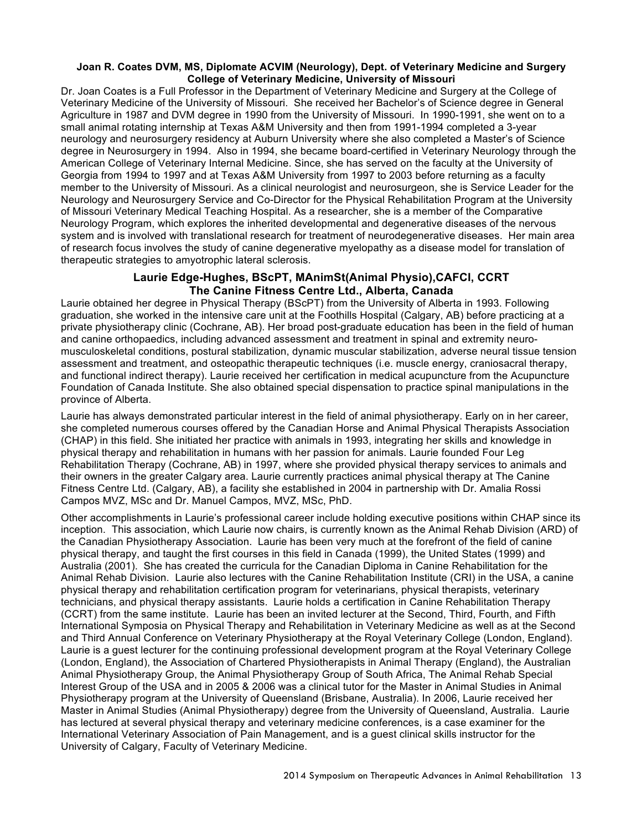#### **Joan R. Coates DVM, MS, Diplomate ACVIM (Neurology), Dept. of Veterinary Medicine and Surgery College of Veterinary Medicine, University of Missouri**

Dr. Joan Coates is a Full Professor in the Department of Veterinary Medicine and Surgery at the College of Veterinary Medicine of the University of Missouri. She received her Bachelor's of Science degree in General Agriculture in 1987 and DVM degree in 1990 from the University of Missouri. In 1990-1991, she went on to a small animal rotating internship at Texas A&M University and then from 1991-1994 completed a 3-year neurology and neurosurgery residency at Auburn University where she also completed a Master's of Science degree in Neurosurgery in 1994. Also in 1994, she became board-certified in Veterinary Neurology through the American College of Veterinary Internal Medicine. Since, she has served on the faculty at the University of Georgia from 1994 to 1997 and at Texas A&M University from 1997 to 2003 before returning as a faculty member to the University of Missouri. As a clinical neurologist and neurosurgeon, she is Service Leader for the Neurology and Neurosurgery Service and Co-Director for the Physical Rehabilitation Program at the University of Missouri Veterinary Medical Teaching Hospital. As a researcher, she is a member of the Comparative Neurology Program, which explores the inherited developmental and degenerative diseases of the nervous system and is involved with translational research for treatment of neurodegenerative diseases. Her main area of research focus involves the study of canine degenerative myelopathy as a disease model for translation of therapeutic strategies to amyotrophic lateral sclerosis.

### **Laurie Edge-Hughes, BScPT, MAnimSt(Animal Physio),CAFCI, CCRT The Canine Fitness Centre Ltd., Alberta, Canada**

Laurie obtained her degree in Physical Therapy (BScPT) from the University of Alberta in 1993. Following graduation, she worked in the intensive care unit at the Foothills Hospital (Calgary, AB) before practicing at a private physiotherapy clinic (Cochrane, AB). Her broad post-graduate education has been in the field of human and canine orthopaedics, including advanced assessment and treatment in spinal and extremity neuromusculoskeletal conditions, postural stabilization, dynamic muscular stabilization, adverse neural tissue tension assessment and treatment, and osteopathic therapeutic techniques (i.e. muscle energy, craniosacral therapy, and functional indirect therapy). Laurie received her certification in medical acupuncture from the Acupuncture Foundation of Canada Institute. She also obtained special dispensation to practice spinal manipulations in the province of Alberta.

Laurie has always demonstrated particular interest in the field of animal physiotherapy. Early on in her career, she completed numerous courses offered by the Canadian Horse and Animal Physical Therapists Association (CHAP) in this field. She initiated her practice with animals in 1993, integrating her skills and knowledge in physical therapy and rehabilitation in humans with her passion for animals. Laurie founded Four Leg Rehabilitation Therapy (Cochrane, AB) in 1997, where she provided physical therapy services to animals and their owners in the greater Calgary area. Laurie currently practices animal physical therapy at The Canine Fitness Centre Ltd. (Calgary, AB), a facility she established in 2004 in partnership with Dr. Amalia Rossi Campos MVZ, MSc and Dr. Manuel Campos, MVZ, MSc, PhD.

Other accomplishments in Laurie's professional career include holding executive positions within CHAP since its inception. This association, which Laurie now chairs, is currently known as the Animal Rehab Division (ARD) of the Canadian Physiotherapy Association. Laurie has been very much at the forefront of the field of canine physical therapy, and taught the first courses in this field in Canada (1999), the United States (1999) and Australia (2001). She has created the curricula for the Canadian Diploma in Canine Rehabilitation for the Animal Rehab Division. Laurie also lectures with the Canine Rehabilitation Institute (CRI) in the USA, a canine physical therapy and rehabilitation certification program for veterinarians, physical therapists, veterinary technicians, and physical therapy assistants. Laurie holds a certification in Canine Rehabilitation Therapy (CCRT) from the same institute. Laurie has been an invited lecturer at the Second, Third, Fourth, and Fifth International Symposia on Physical Therapy and Rehabilitation in Veterinary Medicine as well as at the Second and Third Annual Conference on Veterinary Physiotherapy at the Royal Veterinary College (London, England). Laurie is a guest lecturer for the continuing professional development program at the Royal Veterinary College (London, England), the Association of Chartered Physiotherapists in Animal Therapy (England), the Australian Animal Physiotherapy Group, the Animal Physiotherapy Group of South Africa, The Animal Rehab Special Interest Group of the USA and in 2005 & 2006 was a clinical tutor for the Master in Animal Studies in Animal Physiotherapy program at the University of Queensland (Brisbane, Australia). In 2006, Laurie received her Master in Animal Studies (Animal Physiotherapy) degree from the University of Queensland, Australia. Laurie has lectured at several physical therapy and veterinary medicine conferences, is a case examiner for the International Veterinary Association of Pain Management, and is a guest clinical skills instructor for the University of Calgary, Faculty of Veterinary Medicine.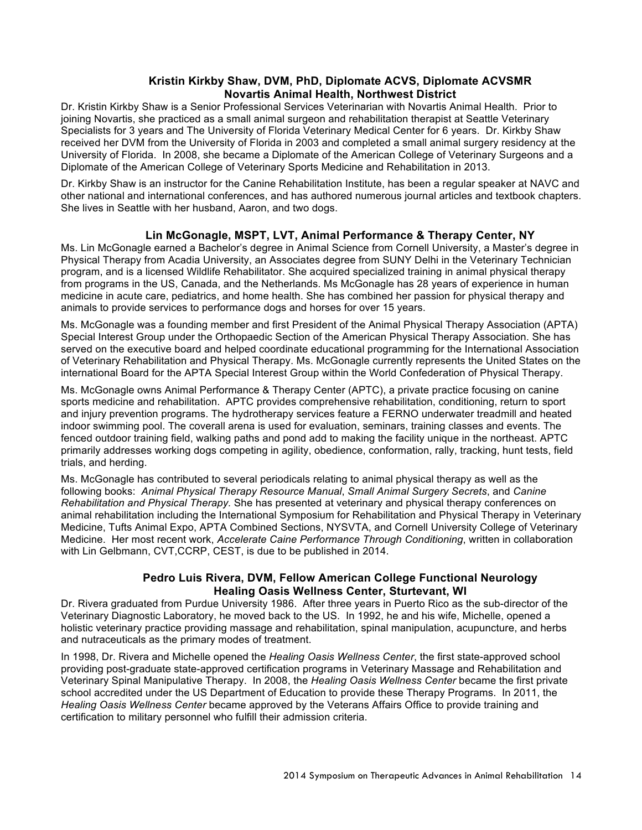### **Kristin Kirkby Shaw, DVM, PhD, Diplomate ACVS, Diplomate ACVSMR Novartis Animal Health, Northwest District**

Dr. Kristin Kirkby Shaw is a Senior Professional Services Veterinarian with Novartis Animal Health. Prior to joining Novartis, she practiced as a small animal surgeon and rehabilitation therapist at Seattle Veterinary Specialists for 3 years and The University of Florida Veterinary Medical Center for 6 years. Dr. Kirkby Shaw received her DVM from the University of Florida in 2003 and completed a small animal surgery residency at the University of Florida. In 2008, she became a Diplomate of the American College of Veterinary Surgeons and a Diplomate of the American College of Veterinary Sports Medicine and Rehabilitation in 2013.

Dr. Kirkby Shaw is an instructor for the Canine Rehabilitation Institute, has been a regular speaker at NAVC and other national and international conferences, and has authored numerous journal articles and textbook chapters. She lives in Seattle with her husband, Aaron, and two dogs.

### **Lin McGonagle, MSPT, LVT, Animal Performance & Therapy Center, NY**

Ms. Lin McGonagle earned a Bachelor's degree in Animal Science from Cornell University, a Master's degree in Physical Therapy from Acadia University, an Associates degree from SUNY Delhi in the Veterinary Technician program, and is a licensed Wildlife Rehabilitator. She acquired specialized training in animal physical therapy from programs in the US, Canada, and the Netherlands. Ms McGonagle has 28 years of experience in human medicine in acute care, pediatrics, and home health. She has combined her passion for physical therapy and animals to provide services to performance dogs and horses for over 15 years.

Ms. McGonagle was a founding member and first President of the Animal Physical Therapy Association (APTA) Special Interest Group under the Orthopaedic Section of the American Physical Therapy Association. She has served on the executive board and helped coordinate educational programming for the International Association of Veterinary Rehabilitation and Physical Therapy. Ms. McGonagle currently represents the United States on the international Board for the APTA Special Interest Group within the World Confederation of Physical Therapy.

Ms. McGonagle owns Animal Performance & Therapy Center (APTC), a private practice focusing on canine sports medicine and rehabilitation. APTC provides comprehensive rehabilitation, conditioning, return to sport and injury prevention programs. The hydrotherapy services feature a FERNO underwater treadmill and heated indoor swimming pool. The coverall arena is used for evaluation, seminars, training classes and events. The fenced outdoor training field, walking paths and pond add to making the facility unique in the northeast. APTC primarily addresses working dogs competing in agility, obedience, conformation, rally, tracking, hunt tests, field trials, and herding.

Ms. McGonagle has contributed to several periodicals relating to animal physical therapy as well as the following books: *Animal Physical Therapy Resource Manual*, *Small Animal Surgery Secrets*, and *Canine Rehabilitation and Physical Therapy.* She has presented at veterinary and physical therapy conferences on animal rehabilitation including the International Symposium for Rehabilitation and Physical Therapy in Veterinary Medicine, Tufts Animal Expo, APTA Combined Sections, NYSVTA, and Cornell University College of Veterinary Medicine. Her most recent work, *Accelerate Caine Performance Through Conditioning*, written in collaboration with Lin Gelbmann, CVT,CCRP, CEST, is due to be published in 2014.

### **Pedro Luis Rivera, DVM, Fellow American College Functional Neurology Healing Oasis Wellness Center, Sturtevant, WI**

Dr. Rivera graduated from Purdue University 1986. After three years in Puerto Rico as the sub-director of the Veterinary Diagnostic Laboratory, he moved back to the US. In 1992, he and his wife, Michelle, opened a holistic veterinary practice providing massage and rehabilitation, spinal manipulation, acupuncture, and herbs and nutraceuticals as the primary modes of treatment.

In 1998, Dr. Rivera and Michelle opened the *Healing Oasis Wellness Center*, the first state-approved school providing post-graduate state-approved certification programs in Veterinary Massage and Rehabilitation and Veterinary Spinal Manipulative Therapy. In 2008, the *Healing Oasis Wellness Center* became the first private school accredited under the US Department of Education to provide these Therapy Programs. In 2011, the *Healing Oasis Wellness Center* became approved by the Veterans Affairs Office to provide training and certification to military personnel who fulfill their admission criteria.